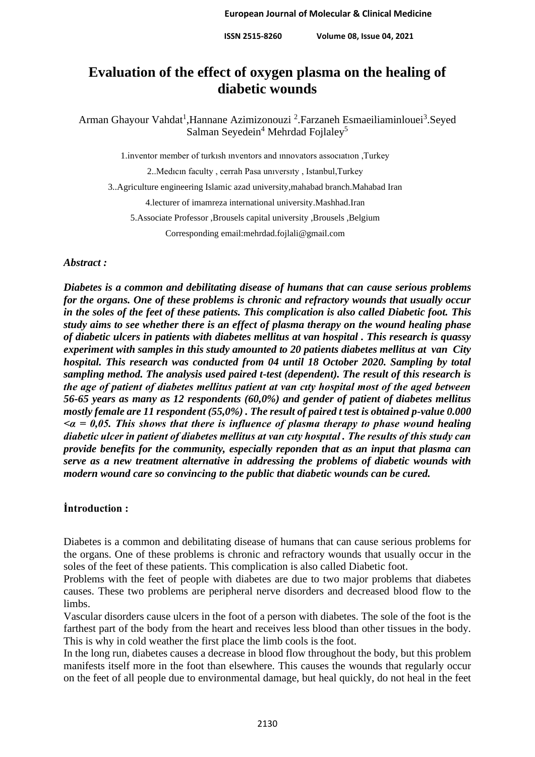# **Evaluation of the effect of oxygen plasma on the healing of diabetic wounds**

Arman Ghayour Vahdat<sup>1</sup>, Hannane Azimizonouzi<sup>2</sup>. Farzaneh Esmaeiliaminlouei<sup>3</sup>. Seyed Salman Seyedein<sup>4</sup> Mehrdad Fojlaley<sup>5</sup>

1.inventor member of turkısh ınventors and ınnovators assocıatıon ,Turkey

2..Medıcın faculty , cerrah Pasa unıversıty , Istanbul,Turkey

3..Agriculture engineering Islamic azad university,mahabad branch.Mahabad Iran

4.lecturer of imamreza international university.Mashhad.Iran

5.Associate Professor ,Brousels capital university ,Brousels ,Belgium

Corresponding email:mehrdad.fojlali@gmail.com

#### *Abstract :*

*Diabetes is a common and debilitating disease of humans that can cause serious problems for the organs. One of these problems is chronic and refractory wounds that usually occur in the soles of the feet of these patients. This complication is also called Diabetic foot. This study aims to see whether there is an effect of plasma therapy on the wound healing phase of diabetic ulcers in patients with diabetes mellitus at van hospital . This research is quassy experiment with samples in this study amounted to 20 patients diabetes mellitus at van City hospital. This research was conducted from 04 until 18 October 2020. Sampling by total sampling method. The analysis used paired t-test (dependent). The result of this research is the age of patient of diabetes mellitus patient at van cıty hospital most of the aged between 56-65 years as many as 12 respondents (60,0%) and gender of patient of diabetes mellitus mostly female are 11 respondent (55,0%) . The result of paired t test is obtained p-value 0.000 <α = 0,05. This shows that there is influence of plasma therapy to phase wound healing diabetic ulcer in patient of diabetes mellitus at van cıty hospıtal . The results of this study can provide benefits for the community, especially reponden that as an input that plasma can serve as a new treatment alternative in addressing the problems of diabetic wounds with modern wound care so convincing to the public that diabetic wounds can be cured.*

#### **İntroduction :**

Diabetes is a common and debilitating disease of humans that can cause serious problems for the organs. One of these problems is chronic and refractory wounds that usually occur in the soles of the feet of these patients. This complication is also called Diabetic foot.

Problems with the feet of people with diabetes are due to two major problems that diabetes causes. These two problems are peripheral nerve disorders and decreased blood flow to the limbs.

Vascular disorders cause ulcers in the foot of a person with diabetes. The sole of the foot is the farthest part of the body from the heart and receives less blood than other tissues in the body. This is why in cold weather the first place the limb cools is the foot.

In the long run, diabetes causes a decrease in blood flow throughout the body, but this problem manifests itself more in the foot than elsewhere. This causes the wounds that regularly occur on the feet of all people due to environmental damage, but heal quickly, do not heal in the feet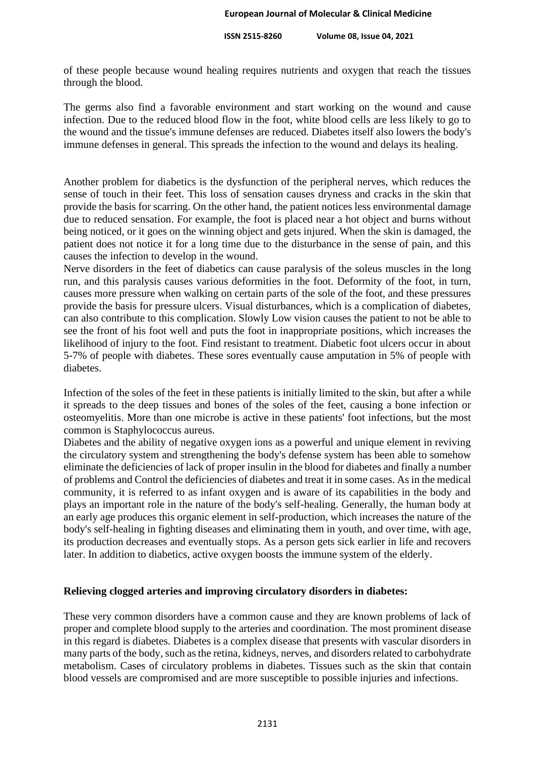of these people because wound healing requires nutrients and oxygen that reach the tissues through the blood.

The germs also find a favorable environment and start working on the wound and cause infection. Due to the reduced blood flow in the foot, white blood cells are less likely to go to the wound and the tissue's immune defenses are reduced. Diabetes itself also lowers the body's immune defenses in general. This spreads the infection to the wound and delays its healing.

Another problem for diabetics is the dysfunction of the peripheral nerves, which reduces the sense of touch in their feet. This loss of sensation causes dryness and cracks in the skin that provide the basis for scarring. On the other hand, the patient notices less environmental damage due to reduced sensation. For example, the foot is placed near a hot object and burns without being noticed, or it goes on the winning object and gets injured. When the skin is damaged, the patient does not notice it for a long time due to the disturbance in the sense of pain, and this causes the infection to develop in the wound.

Nerve disorders in the feet of diabetics can cause paralysis of the soleus muscles in the long run, and this paralysis causes various deformities in the foot. Deformity of the foot, in turn, causes more pressure when walking on certain parts of the sole of the foot, and these pressures provide the basis for pressure ulcers. Visual disturbances, which is a complication of diabetes, can also contribute to this complication. Slowly Low vision causes the patient to not be able to see the front of his foot well and puts the foot in inappropriate positions, which increases the likelihood of injury to the foot. Find resistant to treatment. Diabetic foot ulcers occur in about 5-7% of people with diabetes. These sores eventually cause amputation in 5% of people with diabetes.

Infection of the soles of the feet in these patients is initially limited to the skin, but after a while it spreads to the deep tissues and bones of the soles of the feet, causing a bone infection or osteomyelitis. More than one microbe is active in these patients' foot infections, but the most common is Staphylococcus aureus.

Diabetes and the ability of negative oxygen ions as a powerful and unique element in reviving the circulatory system and strengthening the body's defense system has been able to somehow eliminate the deficiencies of lack of proper insulin in the blood for diabetes and finally a number of problems and Control the deficiencies of diabetes and treat it in some cases. As in the medical community, it is referred to as infant oxygen and is aware of its capabilities in the body and plays an important role in the nature of the body's self-healing. Generally, the human body at an early age produces this organic element in self-production, which increases the nature of the body's self-healing in fighting diseases and eliminating them in youth, and over time, with age, its production decreases and eventually stops. As a person gets sick earlier in life and recovers later. In addition to diabetics, active oxygen boosts the immune system of the elderly.

# **Relieving clogged arteries and improving circulatory disorders in diabetes:**

These very common disorders have a common cause and they are known problems of lack of proper and complete blood supply to the arteries and coordination. The most prominent disease in this regard is diabetes. Diabetes is a complex disease that presents with vascular disorders in many parts of the body, such as the retina, kidneys, nerves, and disorders related to carbohydrate metabolism. Cases of circulatory problems in diabetes. Tissues such as the skin that contain blood vessels are compromised and are more susceptible to possible injuries and infections.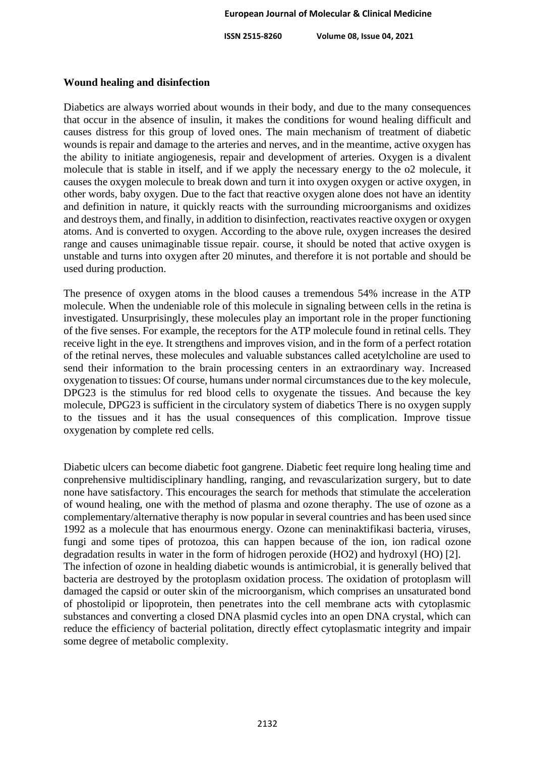#### **Wound healing and disinfection**

Diabetics are always worried about wounds in their body, and due to the many consequences that occur in the absence of insulin, it makes the conditions for wound healing difficult and causes distress for this group of loved ones. The main mechanism of treatment of diabetic wounds is repair and damage to the arteries and nerves, and in the meantime, active oxygen has the ability to initiate angiogenesis, repair and development of arteries. Oxygen is a divalent molecule that is stable in itself, and if we apply the necessary energy to the o2 molecule, it causes the oxygen molecule to break down and turn it into oxygen oxygen or active oxygen, in other words, baby oxygen. Due to the fact that reactive oxygen alone does not have an identity and definition in nature, it quickly reacts with the surrounding microorganisms and oxidizes and destroys them, and finally, in addition to disinfection, reactivates reactive oxygen or oxygen atoms. And is converted to oxygen. According to the above rule, oxygen increases the desired range and causes unimaginable tissue repair. course, it should be noted that active oxygen is unstable and turns into oxygen after 20 minutes, and therefore it is not portable and should be used during production.

The presence of oxygen atoms in the blood causes a tremendous 54% increase in the ATP molecule. When the undeniable role of this molecule in signaling between cells in the retina is investigated. Unsurprisingly, these molecules play an important role in the proper functioning of the five senses. For example, the receptors for the ATP molecule found in retinal cells. They receive light in the eye. It strengthens and improves vision, and in the form of a perfect rotation of the retinal nerves, these molecules and valuable substances called acetylcholine are used to send their information to the brain processing centers in an extraordinary way. Increased oxygenation to tissues: Of course, humans under normal circumstances due to the key molecule, DPG23 is the stimulus for red blood cells to oxygenate the tissues. And because the key molecule, DPG23 is sufficient in the circulatory system of diabetics There is no oxygen supply to the tissues and it has the usual consequences of this complication. Improve tissue oxygenation by complete red cells.

Diabetic ulcers can become diabetic foot gangrene. Diabetic feet require long healing time and conprehensive multidisciplinary handling, ranging, and revascularization surgery, but to date none have satisfactory. This encourages the search for methods that stimulate the acceleration of wound healing, one with the method of plasma and ozone theraphy. The use of ozone as a complementary/alternative theraphy is now popular in several countries and has been used since 1992 as a molecule that has enourmous energy. Ozone can meninaktifikasi bacteria, viruses, fungi and some tipes of protozoa, this can happen because of the ion, ion radical ozone degradation results in water in the form of hidrogen peroxide (HO2) and hydroxyl (HO) [2]. The infection of ozone in healding diabetic wounds is antimicrobial, it is generally belived that bacteria are destroyed by the protoplasm oxidation process. The oxidation of protoplasm will damaged the capsid or outer skin of the microorganism, which comprises an unsaturated bond of phostolipid or lipoprotein, then penetrates into the cell membrane acts with cytoplasmic substances and converting a closed DNA plasmid cycles into an open DNA crystal, which can reduce the efficiency of bacterial politation, directly effect cytoplasmatic integrity and impair some degree of metabolic complexity.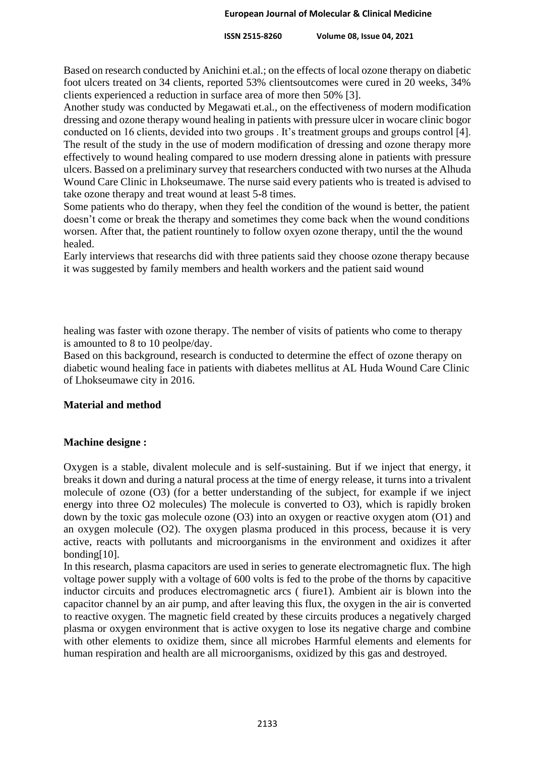Based on research conducted by Anichini et.al.; on the effects of local ozone therapy on diabetic foot ulcers treated on 34 clients, reported 53% clientsoutcomes were cured in 20 weeks, 34% clients experienced a reduction in surface area of more then 50% [3].

Another study was conducted by Megawati et.al., on the effectiveness of modern modification dressing and ozone therapy wound healing in patients with pressure ulcer in wocare clinic bogor conducted on 16 clients, devided into two groups . It's treatment groups and groups control [4]. The result of the study in the use of modern modification of dressing and ozone therapy more effectively to wound healing compared to use modern dressing alone in patients with pressure ulcers. Bassed on a preliminary survey that researchers conducted with two nurses at the Alhuda Wound Care Clinic in Lhokseumawe. The nurse said every patients who is treated is advised to take ozone therapy and treat wound at least 5-8 times.

Some patients who do therapy, when they feel the condition of the wound is better, the patient doesn't come or break the therapy and sometimes they come back when the wound conditions worsen. After that, the patient rountinely to follow oxyen ozone therapy, until the the wound healed.

Early interviews that researchs did with three patients said they choose ozone therapy because it was suggested by family members and health workers and the patient said wound

healing was faster with ozone therapy. The nember of visits of patients who come to therapy is amounted to 8 to 10 peolpe/day.

Based on this background, research is conducted to determine the effect of ozone therapy on diabetic wound healing face in patients with diabetes mellitus at AL Huda Wound Care Clinic of Lhokseumawe city in 2016.

# **Material and method**

## **Machine designe :**

Oxygen is a stable, divalent molecule and is self-sustaining. But if we inject that energy, it breaks it down and during a natural process at the time of energy release, it turns into a trivalent molecule of ozone (O3) (for a better understanding of the subject, for example if we inject energy into three O2 molecules) The molecule is converted to O3), which is rapidly broken down by the toxic gas molecule ozone (O3) into an oxygen or reactive oxygen atom (O1) and an oxygen molecule (O2). The oxygen plasma produced in this process, because it is very active, reacts with pollutants and microorganisms in the environment and oxidizes it after bonding[10].

In this research, plasma capacitors are used in series to generate electromagnetic flux. The high voltage power supply with a voltage of 600 volts is fed to the probe of the thorns by capacitive inductor circuits and produces electromagnetic arcs ( fiure1). Ambient air is blown into the capacitor channel by an air pump, and after leaving this flux, the oxygen in the air is converted to reactive oxygen. The magnetic field created by these circuits produces a negatively charged plasma or oxygen environment that is active oxygen to lose its negative charge and combine with other elements to oxidize them, since all microbes Harmful elements and elements for human respiration and health are all microorganisms, oxidized by this gas and destroyed.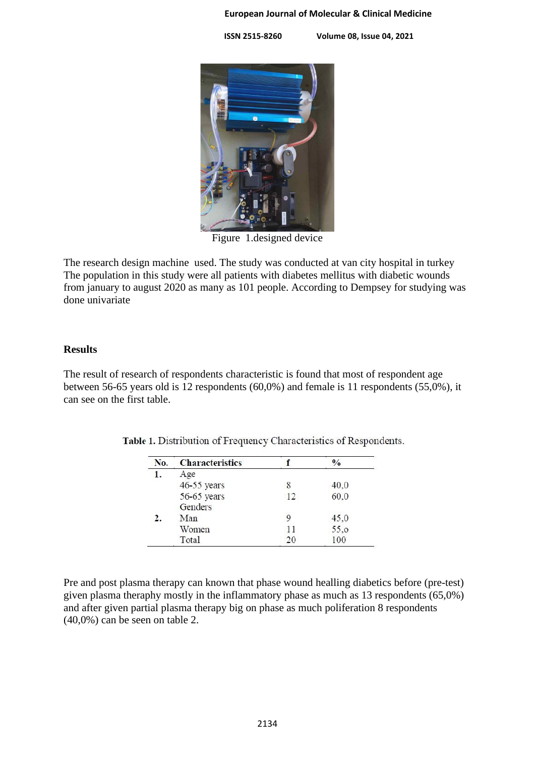#### **European Journal of Molecular & Clinical Medicine**

 **ISSN 2515-8260 Volume 08, Issue 04, 2021**



Figure 1.designed device

The research design machine used. The study was conducted at van city hospital in turkey The population in this study were all patients with diabetes mellitus with diabetic wounds from january to august 2020 as many as 101 people. According to Dempsey for studying was done univariate

## **Results**

The result of research of respondents characteristic is found that most of respondent age between 56-65 years old is 12 respondents (60,0%) and female is 11 respondents (55,0%), it can see on the first table.

| No. | <b>Characteristics</b> |    | $\frac{0}{0}$ |
|-----|------------------------|----|---------------|
| 1.  | Age                    |    |               |
|     | 46-55 years            | 8  | 40,0          |
|     | 56-65 years            | 12 | 60,0          |
|     | Genders                |    |               |
|     | Man                    |    | 45,0          |
|     | Women                  | 11 | 55,0          |
|     | Total                  | 20 | 100           |

Table 1. Distribution of Frequency Characteristics of Respondents.

Pre and post plasma therapy can known that phase wound healling diabetics before (pre-test) given plasma theraphy mostly in the inflammatory phase as much as 13 respondents (65,0%) and after given partial plasma therapy big on phase as much poliferation 8 respondents (40,0%) can be seen on table 2.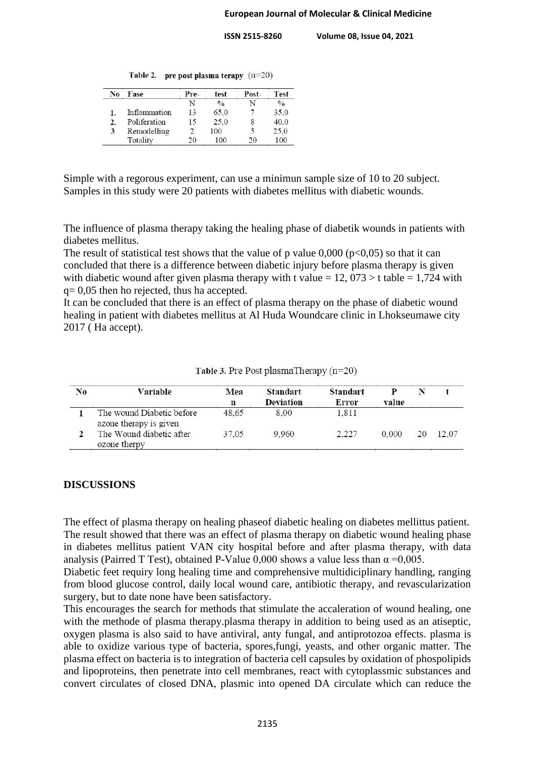|  |  | Table 2. pre post plasma terapy $(n=20)$ |  |
|--|--|------------------------------------------|--|
|--|--|------------------------------------------|--|

| N <sub>0</sub> | Fase         | Pre- | test          | Post- | <b>Test</b>   |
|----------------|--------------|------|---------------|-------|---------------|
|                |              |      | $\frac{0}{0}$ |       | $\frac{0}{0}$ |
|                | Inflammation | 13   | 65.0          |       | 35,0          |
| 2.             | Poliferation | 15   | 25.0          |       | 40.0          |
| 3              | Remodelling  |      | 100           |       | 25,0          |
|                | Totality     | 20   | 100           | 20    | 100           |

Simple with a regorous experiment, can use a minimun sample size of 10 to 20 subject. Samples in this study were 20 patients with diabetes mellitus with diabetic wounds.

The influence of plasma therapy taking the healing phase of diabetik wounds in patients with diabetes mellitus.

The result of statistical test shows that the value of p value  $0,000$  (p<0,05) so that it can concluded that there is a difference between diabetic injury before plasma therapy is given with diabetic wound after given plasma therapy with t value =  $12$ ,  $073 > t$  table = 1,724 with q= 0,05 then ho rejected, thus ha accepted.

It can be concluded that there is an effect of plasma therapy on the phase of diabetic wound healing in patient with diabetes mellitus at Al Huda Woundcare clinic in Lhokseumawe city 2017 ( Ha accept).

| No | Variable                                            | Mea<br>n | <b>Standart</b><br><b>Deviation</b> | <b>Standart</b><br><b>Error</b> | value |       |
|----|-----------------------------------------------------|----------|-------------------------------------|---------------------------------|-------|-------|
|    | The wound Diabetic before<br>azone therapy is given | 48.65    | 8.00                                | 1.811                           |       |       |
|    | The Wound diabetic after<br>ozone therpy            | 37.05    | 9.960                               | 2.227                           | 0.000 | 12.07 |

Table 3. Pre Post plasmaTherapy  $(n=20)$ 

## **DISCUSSIONS**

The effect of plasma therapy on healing phaseof diabetic healing on diabetes mellittus patient. The result showed that there was an effect of plasma therapy on diabetic wound healing phase in diabetes mellitus patient VAN city hospital before and after plasma therapy, with data analysis (Pairred T Test), obtained P-Value 0,000 shows a value less than  $\alpha = 0.005$ .

Diabetic feet requiry long healing time and comprehensive multidiciplinary handling, ranging from blood glucose control, daily local wound care, antibiotic therapy, and revascularization surgery, but to date none have been satisfactory.

This encourages the search for methods that stimulate the accaleration of wound healing, one with the methode of plasma therapy.plasma therapy in addition to being used as an atiseptic, oxygen plasma is also said to have antiviral, anty fungal, and antiprotozoa effects. plasma is able to oxidize various type of bacteria, spores,fungi, yeasts, and other organic matter. The plasma effect on bacteria is to integration of bacteria cell capsules by oxidation of phospolipids and lipoproteins, then penetrate into cell membranes, react with cytoplassmic substances and convert circulates of closed DNA, plasmic into opened DA circulate which can reduce the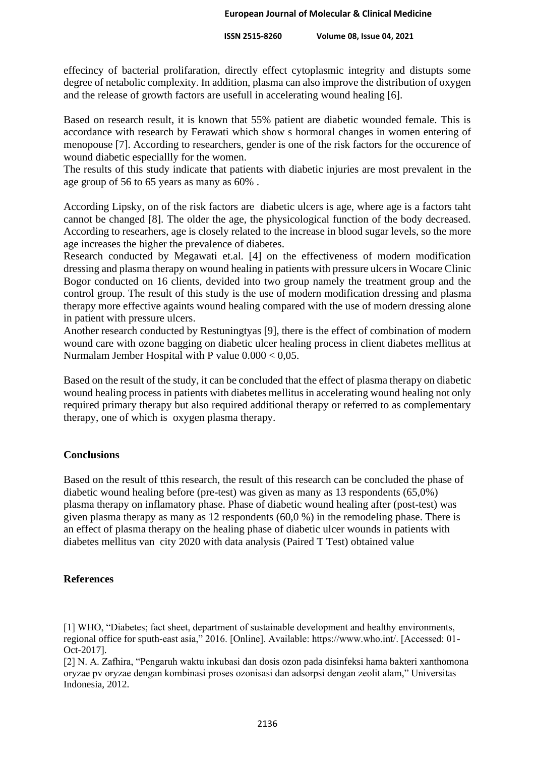effecincy of bacterial prolifaration, directly effect cytoplasmic integrity and distupts some degree of netabolic complexity. In addition, plasma can also improve the distribution of oxygen and the release of growth factors are usefull in accelerating wound healing [6].

Based on research result, it is known that 55% patient are diabetic wounded female. This is accordance with research by Ferawati which show s hormoral changes in women entering of menopouse [7]. According to researchers, gender is one of the risk factors for the occurence of wound diabetic especiallly for the women.

The results of this study indicate that patients with diabetic injuries are most prevalent in the age group of 56 to 65 years as many as 60% .

According Lipsky, on of the risk factors are diabetic ulcers is age, where age is a factors taht cannot be changed [8]. The older the age, the physicological function of the body decreased. According to researhers, age is closely related to the increase in blood sugar levels, so the more age increases the higher the prevalence of diabetes.

Research conducted by Megawati et.al. [4] on the effectiveness of modern modification dressing and plasma therapy on wound healing in patients with pressure ulcers in Wocare Clinic Bogor conducted on 16 clients, devided into two group namely the treatment group and the control group. The result of this study is the use of modern modification dressing and plasma therapy more effective againts wound healing compared with the use of modern dressing alone in patient with pressure ulcers.

Another research conducted by Restuningtyas [9], there is the effect of combination of modern wound care with ozone bagging on diabetic ulcer healing process in client diabetes mellitus at Nurmalam Jember Hospital with P value 0.000 < 0,05.

Based on the result of the study, it can be concluded that the effect of plasma therapy on diabetic wound healing process in patients with diabetes mellitus in accelerating wound healing not only required primary therapy but also required additional therapy or referred to as complementary therapy, one of which is oxygen plasma therapy.

## **Conclusions**

Based on the result of tthis research, the result of this research can be concluded the phase of diabetic wound healing before (pre-test) was given as many as 13 respondents (65,0%) plasma therapy on inflamatory phase. Phase of diabetic wound healing after (post-test) was given plasma therapy as many as 12 respondents (60,0 %) in the remodeling phase. There is an effect of plasma therapy on the healing phase of diabetic ulcer wounds in patients with diabetes mellitus van city 2020 with data analysis (Paired T Test) obtained value

# **References**

[1] WHO, "Diabetes; fact sheet, department of sustainable development and healthy environments, regional office for sputh-east asia," 2016. [Online]. Available: https://www.who.int/. [Accessed: 01- Oct-2017].

[2] N. A. Zafhira, "Pengaruh waktu inkubasi dan dosis ozon pada disinfeksi hama bakteri xanthomona oryzae pv oryzae dengan kombinasi proses ozonisasi dan adsorpsi dengan zeolit alam," Universitas Indonesia, 2012.